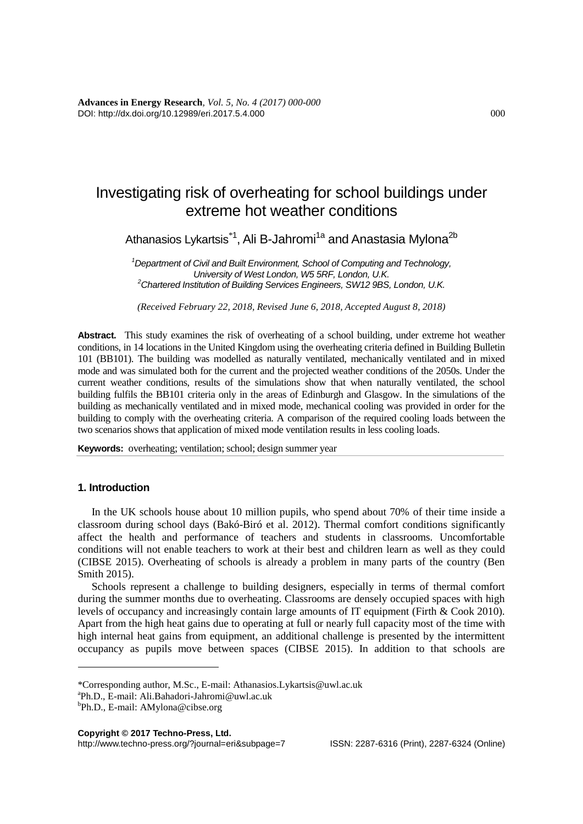# Investigating risk of overheating for school buildings under extreme hot weather conditions

Athanasios Lykartsis $^{\ast}{}^{1}\!,$  Ali B-Jahromi $^{1a}$  and Anastasia Mylona $^{2b}$ 

*<sup>1</sup>Department of Civil and Built Environment, School of Computing and Technology, University of West London, W5 5RF, London, U.K. <sup>2</sup>Chartered Institution of Building Services Engineers, SW12 9BS, London, U.K.*

*(Received February 22, 2018, Revised June 6, 2018, Accepted August 8, 2018)*

**Abstract.** This study examines the risk of overheating of a school building, under extreme hot weather conditions, in 14 locations in the United Kingdom using the overheating criteria defined in Building Bulletin 101 (BB101). The building was modelled as naturally ventilated, mechanically ventilated and in mixed mode and was simulated both for the current and the projected weather conditions of the 2050s. Under the current weather conditions, results of the simulations show that when naturally ventilated, the school building fulfils the BB101 criteria only in the areas of Edinburgh and Glasgow. In the simulations of the building as mechanically ventilated and in mixed mode, mechanical cooling was provided in order for the building to comply with the overheating criteria. A comparison of the required cooling loads between the two scenarios shows that application of mixed mode ventilation results in less cooling loads.

**Keywords:** overheating; ventilation; school; design summer year

# **1. Introduction**

<u>.</u>

In the UK schools house about 10 million pupils, who spend about 70% of their time inside a classroom during school days (Bakó-Biró et al. 2012). Thermal comfort conditions significantly affect the health and performance of teachers and students in classrooms. Uncomfortable conditions will not enable teachers to work at their best and children learn as well as they could (CIBSE 2015). Overheating of schools is already a problem in many parts of the country (Ben Smith 2015).

Schools represent a challenge to building designers, especially in terms of thermal comfort during the summer months due to overheating. Classrooms are densely occupied spaces with high levels of occupancy and increasingly contain large amounts of IT equipment (Firth & Cook 2010). Apart from the high heat gains due to operating at full or nearly full capacity most of the time with high internal heat gains from equipment, an additional challenge is presented by the intermittent occupancy as pupils move between spaces (CIBSE 2015). In addition to that schools are

http://www.techno-press.org/?journal=eri&subpage=7 ISSN: 2287-6316 (Print), 2287-6324 (Online)

<sup>\*</sup>Corresponding author, M.Sc., E-mail: Athanasios.Lykartsis@uwl.ac.uk

a Ph.D., E-mail: Ali.Bahadori-Jahromi@uwl.ac.uk

<sup>&</sup>lt;sup>b</sup>Ph.D., E-mail: AMylona@cibse.org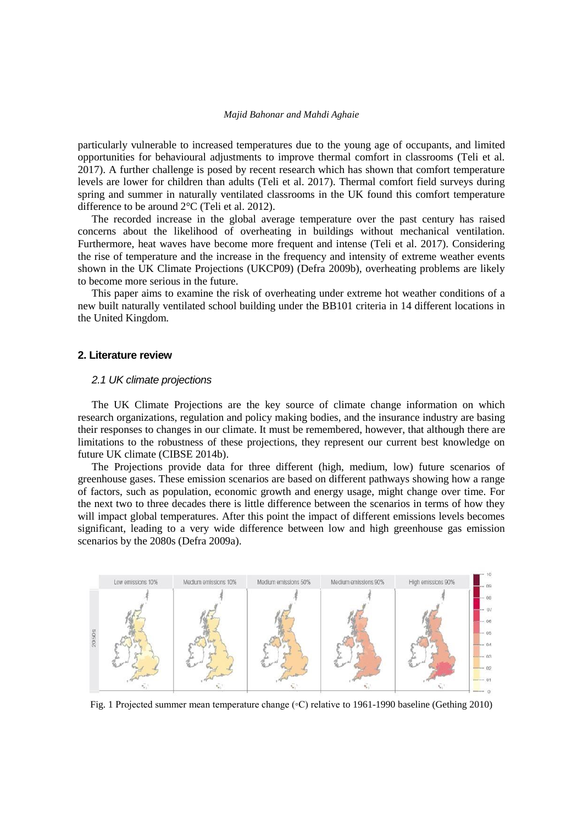particularly vulnerable to increased temperatures due to the young age of occupants, and limited opportunities for behavioural adjustments to improve thermal comfort in classrooms (Teli et al. 2017). A further challenge is posed by recent research which has shown that comfort temperature levels are lower for children than adults (Teli et al. 2017). Thermal comfort field surveys during spring and summer in naturally ventilated classrooms in the UK found this comfort temperature difference to be around 2°C (Teli et al. 2012).

The recorded increase in the global average temperature over the past century has raised concerns about the likelihood of overheating in buildings without mechanical ventilation. Furthermore, heat waves have become more frequent and intense (Teli et al. 2017). Considering the rise of temperature and the increase in the frequency and intensity of extreme weather events shown in the UK Climate Projections (UKCP09) (Defra 2009b), overheating problems are likely to become more serious in the future.

This paper aims to examine the risk of overheating under extreme hot weather conditions of a new built naturally ventilated school building under the BB101 criteria in 14 different locations in the United Kingdom.

#### **2. Literature review**

# *2.1 UK climate projections*

The UK Climate Projections are the key source of climate change information on which research organizations, regulation and policy making bodies, and the insurance industry are basing their responses to changes in our climate. It must be remembered, however, that although there are limitations to the robustness of these projections, they represent our current best knowledge on future UK climate (CIBSE 2014b).

The Projections provide data for three different (high, medium, low) future scenarios of greenhouse gases. These emission scenarios are based on different pathways showing how a range of factors, such as population, economic growth and energy usage, might change over time. For the next two to three decades there is little difference between the scenarios in terms of how they will impact global temperatures. After this point the impact of different emissions levels becomes significant, leading to a very wide difference between low and high greenhouse gas emission scenarios by the 2080s (Defra 2009a).



Fig. 1 Projected summer mean temperature change (◦C) relative to 1961-1990 baseline (Gething 2010)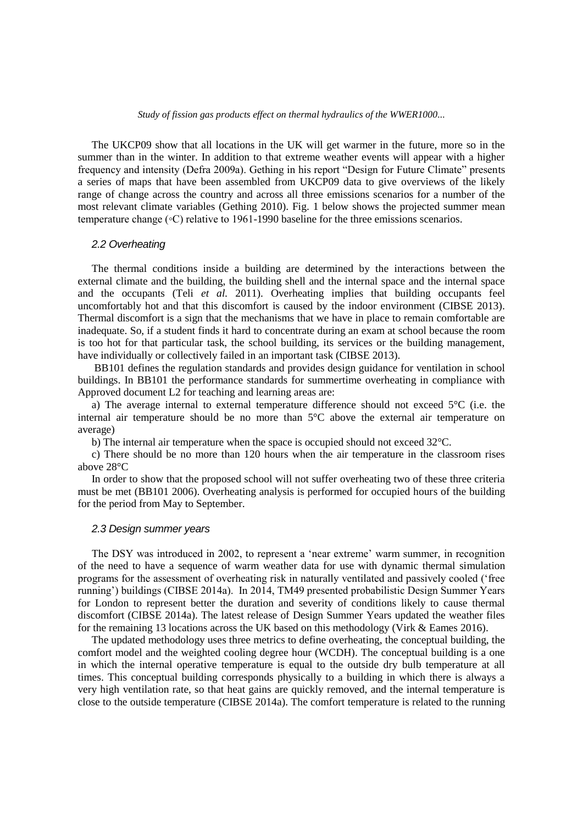The UKCP09 show that all locations in the UK will get warmer in the future, more so in the summer than in the winter. In addition to that extreme weather events will appear with a higher frequency and intensity (Defra 2009a). Gething in his report "Design for Future Climate" presents a series of maps that have been assembled from UKCP09 data to give overviews of the likely range of change across the country and across all three emissions scenarios for a number of the most relevant climate variables (Gething 2010). Fig. 1 below shows the projected summer mean temperature change (◦C) relative to 1961-1990 baseline for the three emissions scenarios.

#### *2.2 Overheating*

The thermal conditions inside a building are determined by the interactions between the external climate and the building, the building shell and the internal space and the internal space and the occupants (Teli *et al.* 2011). Overheating implies that building occupants feel uncomfortably hot and that this discomfort is caused by the indoor environment (CIBSE 2013). Thermal discomfort is a sign that the mechanisms that we have in place to remain comfortable are inadequate. So, if a student finds it hard to concentrate during an exam at school because the room is too hot for that particular task, the school building, its services or the building management, have individually or collectively failed in an important task (CIBSE 2013).

BB101 defines the regulation standards and provides design guidance for ventilation in school buildings. In BB101 the performance standards for summertime overheating in compliance with Approved document L2 for teaching and learning areas are:

a) The average internal to external temperature difference should not exceed  $5^{\circ}C$  (i.e. the internal air temperature should be no more than 5°C above the external air temperature on average)

b) The internal air temperature when the space is occupied should not exceed 32°C.

c) There should be no more than 120 hours when the air temperature in the classroom rises above 28°C

In order to show that the proposed school will not suffer overheating two of these three criteria must be met (BB101 2006). Overheating analysis is performed for occupied hours of the building for the period from May to September.

## *2.3 Design summer years*

The DSY was introduced in 2002, to represent a 'near extreme' warm summer, in recognition of the need to have a sequence of warm weather data for use with dynamic thermal simulation programs for the assessment of overheating risk in naturally ventilated and passively cooled ('free running') buildings (CIBSE 2014a). In 2014, TM49 presented probabilistic Design Summer Years for London to represent better the duration and severity of conditions likely to cause thermal discomfort (CIBSE 2014a). The latest release of Design Summer Years updated the weather files for the remaining 13 locations across the UK based on this methodology (Virk & Eames 2016).

The updated methodology uses three metrics to define overheating, the conceptual building, the comfort model and the weighted cooling degree hour (WCDH). The conceptual building is a one in which the internal operative temperature is equal to the outside dry bulb temperature at all times. This conceptual building corresponds physically to a building in which there is always a very high ventilation rate, so that heat gains are quickly removed, and the internal temperature is close to the outside temperature (CIBSE 2014a). The comfort temperature is related to the running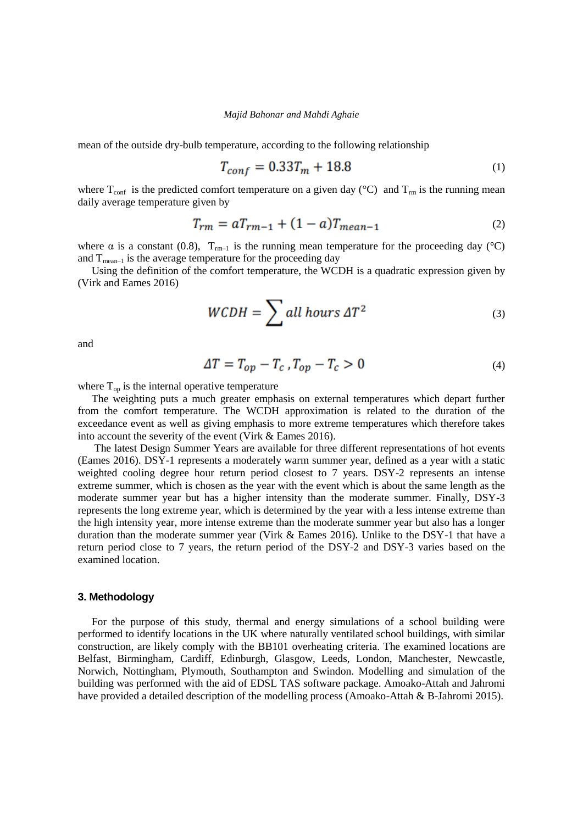mean of the outside dry-bulb temperature, according to the following relationship

$$
T_{conf} = 0.33T_m + 18.8\tag{1}
$$

where  $T_{conf}$  is the predicted comfort temperature on a given day (°C) and  $T_{rm}$  is the running mean daily average temperature given by

$$
T_{rm} = aT_{rm-1} + (1 - a)T_{mean-1}
$$
 (2)

where  $\alpha$  is a constant (0.8),  $T_{rm-1}$  is the running mean temperature for the proceeding day (°C) and  $T_{mean-1}$  is the average temperature for the proceeding day

Using the definition of the comfort temperature, the WCDH is a quadratic expression given by (Virk and Eames 2016)

$$
WCDH = \sum all \; hours \; \Delta T^2 \tag{3}
$$

and

$$
\Delta T = T_{op} - T_c \, , T_{op} - T_c > 0 \tag{4}
$$

where  $T_{op}$  is the internal operative temperature

The weighting puts a much greater emphasis on external temperatures which depart further from the comfort temperature. The WCDH approximation is related to the duration of the exceedance event as well as giving emphasis to more extreme temperatures which therefore takes into account the severity of the event (Virk & Eames 2016).

The latest Design Summer Years are available for three different representations of hot events (Eames 2016). DSY-1 represents a moderately warm summer year, defined as a year with a static weighted cooling degree hour return period closest to 7 years. DSY-2 represents an intense extreme summer, which is chosen as the year with the event which is about the same length as the moderate summer year but has a higher intensity than the moderate summer. Finally, DSY-3 represents the long extreme year, which is determined by the year with a less intense extreme than the high intensity year, more intense extreme than the moderate summer year but also has a longer duration than the moderate summer year (Virk & Eames 2016). Unlike to the DSY-1 that have a return period close to 7 years, the return period of the DSY-2 and DSY-3 varies based on the examined location.

#### **3. Methodology**

For the purpose of this study, thermal and energy simulations of a school building were performed to identify locations in the UK where naturally ventilated school buildings, with similar construction, are likely comply with the BB101 overheating criteria. The examined locations are Belfast, Birmingham, Cardiff, Edinburgh, Glasgow, Leeds, London, Manchester, Newcastle, Norwich, Nottingham, Plymouth, Southampton and Swindon. Modelling and simulation of the building was performed with the aid of EDSL TAS software package. Amoako-Attah and Jahromi have provided a detailed description of the modelling process (Amoako-Attah & B-Jahromi 2015).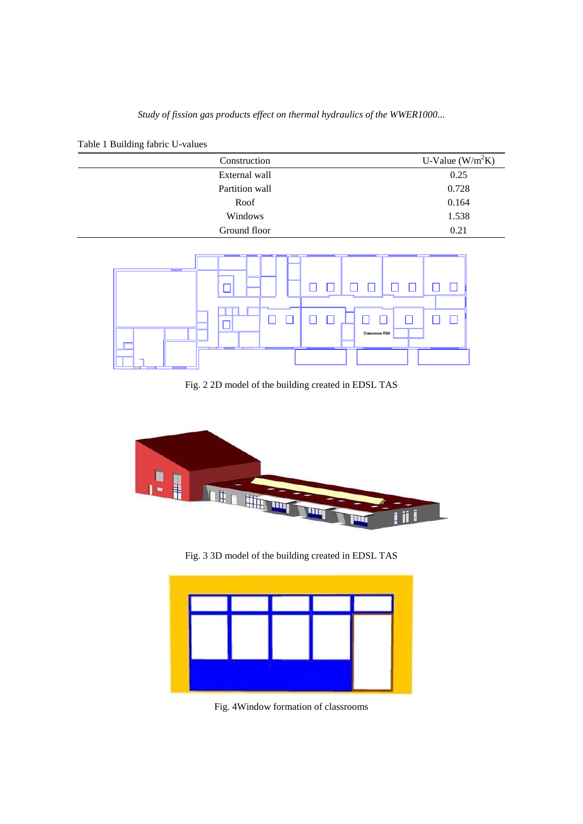|  | Table 1 Building fabric U-values |  |  |
|--|----------------------------------|--|--|
|--|----------------------------------|--|--|

| Construction   | U-Value $(W/m^2K)$ |
|----------------|--------------------|
| External wall  | 0.25               |
| Partition wall | 0.728              |
| Roof           | 0.164              |
| Windows        | 1.538              |
| Ground floor   | 0.21               |



Fig. 2 2D model of the building created in EDSL TAS



Fig. 3 3D model of the building created in EDSL TAS



Fig. 4Window formation of classrooms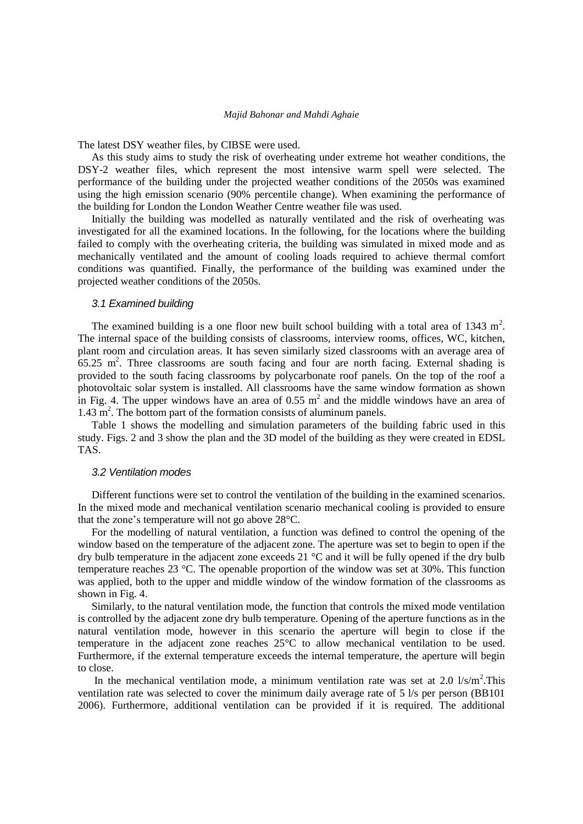The latest DSY weather files, by CIBSE were used.

As this study aims to study the risk of overheating under extreme hot weather conditions, the DSY-2 weather files, which represent the most intensive warm spell were selected. The performance of the building under the projected weather conditions of the 2050s was examined using the high emission scenario (90% percentile change). When examining the performance of the building for London the London Weather Centre weather file was used.

Initially the building was modelled as naturally ventilated and the risk of overheating was investigated for all the examined locations. In the following, for the locations where the building failed to comply with the overheating criteria, the building was simulated in mixed mode and as mechanically ventilated and the amount of cooling loads required to achieve thermal comfort conditions was quantified. Finally, the performance of the building was examined under the projected weather conditions of the 2050s.

#### *3.1 Examined building*

The examined building is a one floor new built school building with a total area of 1343  $m^2$ . The internal space of the building consists of classrooms, interview rooms, offices, WC, kitchen, plant room and circulation areas. It has seven similarly sized classrooms with an average area of  $65.25$  m<sup>2</sup>. Three classrooms are south facing and four are north facing. External shading is provided to the south facing classrooms by polycarbonate roof panels. On the top of the roof a photovoltaic solar system is installed. All classrooms have the same window formation as shown in Fig. 4. The upper windows have an area of 0.55  $m<sup>2</sup>$  and the middle windows have an area of  $1.43 \text{ m}^2$ . The bottom part of the formation consists of aluminum panels.

Table 1 shows the modelling and simulation parameters of the building fabric used in this study. Figs. 2 and 3 show the plan and the 3D model of the building as they were created in EDSL TAS.

#### *3.2 Ventilation modes*

Different functions were set to control the ventilation of the building in the examined scenarios. In the mixed mode and mechanical ventilation scenario mechanical cooling is provided to ensure that the zone's temperature will not go above 28°C.

For the modelling of natural ventilation, a function was defined to control the opening of the window based on the temperature of the adjacent zone. The aperture was set to begin to open if the dry bulb temperature in the adjacent zone exceeds 21 °C and it will be fully opened if the dry bulb temperature reaches 23 °C. The openable proportion of the window was set at 30%. This function was applied, both to the upper and middle window of the window formation of the classrooms as shown in Fig. 4.

Similarly, to the natural ventilation mode, the function that controls the mixed mode ventilation is controlled by the adjacent zone dry bulb temperature. Opening of the aperture functions as in the natural ventilation mode, however in this scenario the aperture will begin to close if the temperature in the adjacent zone reaches 25°C to allow mechanical ventilation to be used. Furthermore, if the external temperature exceeds the internal temperature, the aperture will begin to close.

In the mechanical ventilation mode, a minimum ventilation rate was set at 2.0  $1/s/m^2$ . This ventilation rate was selected to cover the minimum daily average rate of 5 l/s per person (BB101 2006). Furthermore, additional ventilation can be provided if it is required. The additional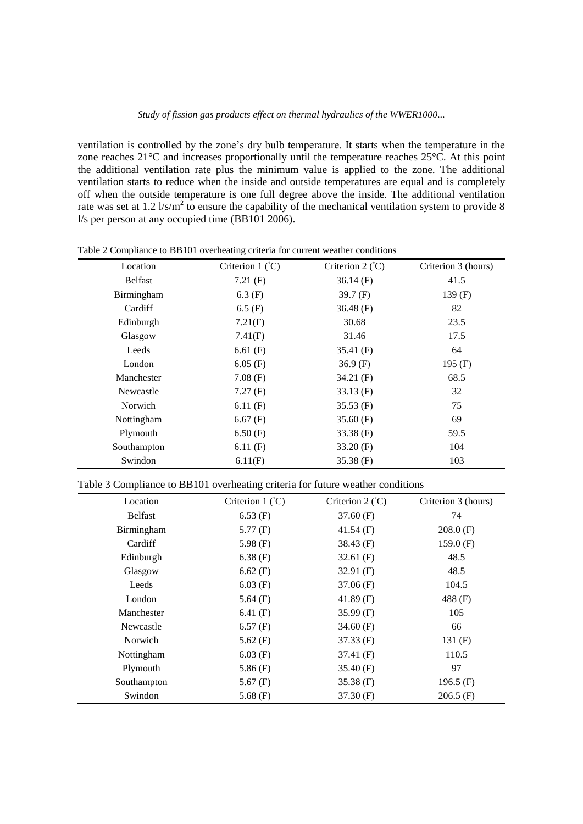ventilation is controlled by the zone's dry bulb temperature. It starts when the temperature in the zone reaches 21°C and increases proportionally until the temperature reaches 25°C. At this point the additional ventilation rate plus the minimum value is applied to the zone. The additional ventilation starts to reduce when the inside and outside temperatures are equal and is completely off when the outside temperature is one full degree above the inside. The additional ventilation rate was set at 1.2  $1/s/m^2$  to ensure the capability of the mechanical ventilation system to provide 8 l/s per person at any occupied time (BB101 2006).

| Location       | Criterion $1 (°C)$ | Criterion $2(^{\circ}C)$ | Criterion 3 (hours) |
|----------------|--------------------|--------------------------|---------------------|
| <b>Belfast</b> | 7.21(F)            | $36.14$ (F)              | 41.5                |
| Birmingham     | $6.3$ (F)          | 39.7 $(F)$               | 139 $(F)$           |
| Cardiff        | $6.5$ (F)          | 36.48 $(F)$              | 82                  |
| Edinburgh      | 7.21(F)            | 30.68                    | 23.5                |
| Glasgow        | 7.41(F)            | 31.46                    | 17.5                |
| Leeds          | $6.61$ (F)         | 35.41 $(F)$              | 64                  |
| London         | $6.05$ (F)         | $36.9$ (F)               | 195 $(F)$           |
| Manchester     | 7.08(F)            | 34.21 $(F)$              | 68.5                |
| Newcastle      | 7.27(F)            | $33.13$ (F)              | 32                  |
| Norwich        | 6.11(F)            | $35.53$ (F)              | 75                  |
| Nottingham     | $6.67$ (F)         | 35.60(F)                 | 69                  |
| Plymouth       | 6.50(F)            | 33.38 $(F)$              | 59.5                |
| Southampton    | 6.11(F)            | 33.20(F)                 | 104                 |
| Swindon        | 6.11(F)            | $35.38$ (F)              | 103                 |

Table 2 Compliance to BB101 overheating criteria for current weather conditions

# Table 3 Compliance to BB101 overheating criteria for future weather conditions

| Location       | Criterion $1 (°C)$ | Criterion $2(^{\circ}C)$ | Criterion 3 (hours) |
|----------------|--------------------|--------------------------|---------------------|
| <b>Belfast</b> | $6.53$ (F)         | 37.60(F)                 | 74                  |
| Birmingham     | 5.77(F)            | 41.54 $(F)$              | 208.0(F)            |
| Cardiff        | 5.98 $(F)$         | $38.43$ (F)              | 159.0(F)            |
| Edinburgh      | $6.38$ (F)         | $32.61$ (F)              | 48.5                |
| Glasgow        | $6.62$ (F)         | 32.91 $(F)$              | 48.5                |
| Leeds          | $6.03$ (F)         | 37.06(F)                 | 104.5               |
| London         | 5.64 $(F)$         | 41.89 $(F)$              | 488 (F)             |
| Manchester     | 6.41 $(F)$         | 35.99(F)                 | 105                 |
| Newcastle      | 6.57(F)            | 34.60 $(F)$              | 66                  |
| Norwich        | 5.62 $(F)$         | $37.33$ (F)              | 131 $(F)$           |
| Nottingham     | $6.03$ (F)         | 37.41(F)                 | 110.5               |
| Plymouth       | 5.86 $(F)$         | 35.40 $(F)$              | 97                  |
| Southampton    | 5.67 $(F)$         | 35.38(F)                 | 196.5 $(F)$         |
| Swindon        | 5.68 $(F)$         | 37.30(F)                 | $206.5$ (F)         |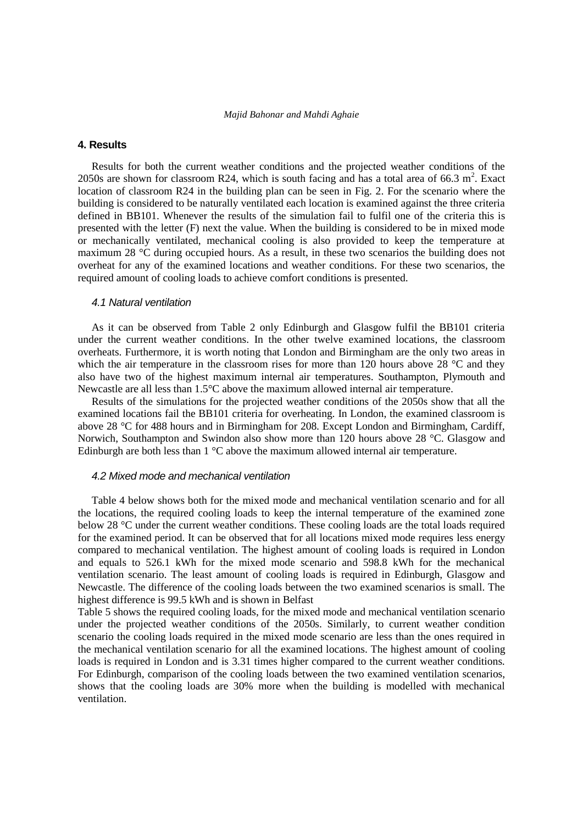# **4. Results**

Results for both the current weather conditions and the projected weather conditions of the 2050s are shown for classroom R24, which is south facing and has a total area of 66.3  $m^2$ . Exact location of classroom R24 in the building plan can be seen in Fig. 2. For the scenario where the building is considered to be naturally ventilated each location is examined against the three criteria defined in BB101. Whenever the results of the simulation fail to fulfil one of the criteria this is presented with the letter (F) next the value. When the building is considered to be in mixed mode or mechanically ventilated, mechanical cooling is also provided to keep the temperature at maximum 28 °C during occupied hours. As a result, in these two scenarios the building does not overheat for any of the examined locations and weather conditions. For these two scenarios, the required amount of cooling loads to achieve comfort conditions is presented.

#### *4.1 Natural ventilation*

As it can be observed from Table 2 only Edinburgh and Glasgow fulfil the BB101 criteria under the current weather conditions. In the other twelve examined locations, the classroom overheats. Furthermore, it is worth noting that London and Birmingham are the only two areas in which the air temperature in the classroom rises for more than 120 hours above 28  $^{\circ}$ C and they also have two of the highest maximum internal air temperatures. Southampton, Plymouth and Newcastle are all less than 1.5°C above the maximum allowed internal air temperature.

Results of the simulations for the projected weather conditions of the 2050s show that all the examined locations fail the BB101 criteria for overheating. In London, the examined classroom is above 28 °C for 488 hours and in Birmingham for 208. Except London and Birmingham, Cardiff, Norwich, Southampton and Swindon also show more than 120 hours above 28 °C. Glasgow and Edinburgh are both less than  $1 \text{ }^{\circ}\text{C}$  above the maximum allowed internal air temperature.

#### *4.2 Mixed mode and mechanical ventilation*

Table 4 below shows both for the mixed mode and mechanical ventilation scenario and for all the locations, the required cooling loads to keep the internal temperature of the examined zone below 28 °C under the current weather conditions. These cooling loads are the total loads required for the examined period. It can be observed that for all locations mixed mode requires less energy compared to mechanical ventilation. The highest amount of cooling loads is required in London and equals to 526.1 kWh for the mixed mode scenario and 598.8 kWh for the mechanical ventilation scenario. The least amount of cooling loads is required in Edinburgh, Glasgow and Newcastle. The difference of the cooling loads between the two examined scenarios is small. The highest difference is 99.5 kWh and is shown in Belfast

Table 5 shows the required cooling loads, for the mixed mode and mechanical ventilation scenario under the projected weather conditions of the 2050s. Similarly, to current weather condition scenario the cooling loads required in the mixed mode scenario are less than the ones required in the mechanical ventilation scenario for all the examined locations. The highest amount of cooling loads is required in London and is 3.31 times higher compared to the current weather conditions. For Edinburgh, comparison of the cooling loads between the two examined ventilation scenarios, shows that the cooling loads are 30% more when the building is modelled with mechanical ventilation.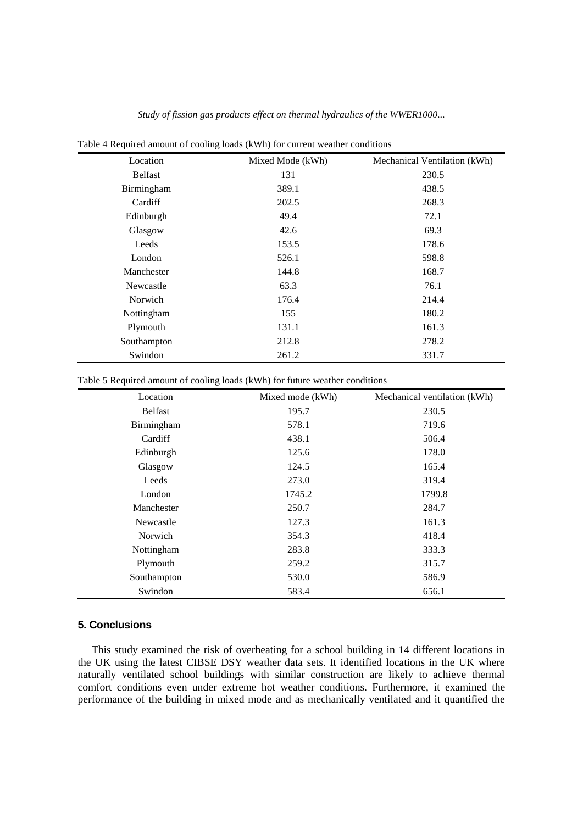| л.             |                  |                              |
|----------------|------------------|------------------------------|
| Location       | Mixed Mode (kWh) | Mechanical Ventilation (kWh) |
| <b>Belfast</b> | 131              | 230.5                        |
| Birmingham     | 389.1            | 438.5                        |
| Cardiff        | 202.5            | 268.3                        |
| Edinburgh      | 49.4             | 72.1                         |
| Glasgow        | 42.6             | 69.3                         |
| Leeds          | 153.5            | 178.6                        |
| London         | 526.1            | 598.8                        |
| Manchester     | 144.8            | 168.7                        |
| Newcastle      | 63.3             | 76.1                         |
| Norwich        | 176.4            | 214.4                        |
| Nottingham     | 155              | 180.2                        |
| Plymouth       | 131.1            | 161.3                        |
| Southampton    | 212.8            | 278.2                        |
| Swindon        | 261.2            | 331.7                        |

Table 4 Required amount of cooling loads (kWh) for current weather conditions

Table 5 Required amount of cooling loads (kWh) for future weather conditions

| Location       | Mixed mode (kWh) | Mechanical ventilation (kWh) |
|----------------|------------------|------------------------------|
| <b>Belfast</b> | 195.7            | 230.5                        |
| Birmingham     | 578.1            | 719.6                        |
| Cardiff        | 438.1            | 506.4                        |
| Edinburgh      | 125.6            | 178.0                        |
| Glasgow        | 124.5            | 165.4                        |
| Leeds          | 273.0            | 319.4                        |
| London         | 1745.2           | 1799.8                       |
| Manchester     | 250.7            | 284.7                        |
| Newcastle      | 127.3            | 161.3                        |
| Norwich        | 354.3            | 418.4                        |
| Nottingham     | 283.8            | 333.3                        |
| Plymouth       | 259.2            | 315.7                        |
| Southampton    | 530.0            | 586.9                        |
| Swindon        | 583.4            | 656.1                        |

# **5. Conclusions**

This study examined the risk of overheating for a school building in 14 different locations in the UK using the latest CIBSE DSY weather data sets. It identified locations in the UK where naturally ventilated school buildings with similar construction are likely to achieve thermal comfort conditions even under extreme hot weather conditions. Furthermore, it examined the performance of the building in mixed mode and as mechanically ventilated and it quantified the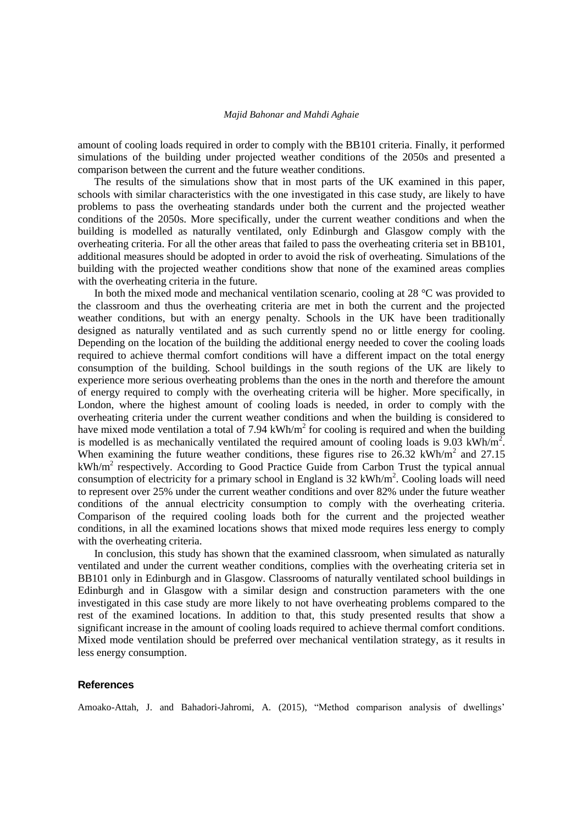amount of cooling loads required in order to comply with the BB101 criteria. Finally, it performed simulations of the building under projected weather conditions of the 2050s and presented a comparison between the current and the future weather conditions.

The results of the simulations show that in most parts of the UK examined in this paper, schools with similar characteristics with the one investigated in this case study, are likely to have problems to pass the overheating standards under both the current and the projected weather conditions of the 2050s. More specifically, under the current weather conditions and when the building is modelled as naturally ventilated, only Edinburgh and Glasgow comply with the overheating criteria. For all the other areas that failed to pass the overheating criteria set in BB101, additional measures should be adopted in order to avoid the risk of overheating. Simulations of the building with the projected weather conditions show that none of the examined areas complies with the overheating criteria in the future.

In both the mixed mode and mechanical ventilation scenario, cooling at 28 °C was provided to the classroom and thus the overheating criteria are met in both the current and the projected weather conditions, but with an energy penalty. Schools in the UK have been traditionally designed as naturally ventilated and as such currently spend no or little energy for cooling. Depending on the location of the building the additional energy needed to cover the cooling loads required to achieve thermal comfort conditions will have a different impact on the total energy consumption of the building. School buildings in the south regions of the UK are likely to experience more serious overheating problems than the ones in the north and therefore the amount of energy required to comply with the overheating criteria will be higher. More specifically, in London, where the highest amount of cooling loads is needed, in order to comply with the overheating criteria under the current weather conditions and when the building is considered to have mixed mode ventilation a total of 7.94 kWh/ $m<sup>2</sup>$  for cooling is required and when the building is modelled is as mechanically ventilated the required amount of cooling loads is 9.03 kWh/m<sup>2</sup>. When examining the future weather conditions, these figures rise to  $26.32 \text{ kWh/m}^2$  and  $27.15$  $kWh/m<sup>2</sup>$  respectively. According to Good Practice Guide from Carbon Trust the typical annual consumption of electricity for a primary school in England is  $32 \text{ kWh/m}^2$ . Cooling loads will need to represent over 25% under the current weather conditions and over 82% under the future weather conditions of the annual electricity consumption to comply with the overheating criteria. Comparison of the required cooling loads both for the current and the projected weather conditions, in all the examined locations shows that mixed mode requires less energy to comply with the overheating criteria.

In conclusion, this study has shown that the examined classroom, when simulated as naturally ventilated and under the current weather conditions, complies with the overheating criteria set in BB101 only in Edinburgh and in Glasgow. Classrooms of naturally ventilated school buildings in Edinburgh and in Glasgow with a similar design and construction parameters with the one investigated in this case study are more likely to not have overheating problems compared to the rest of the examined locations. In addition to that, this study presented results that show a significant increase in the amount of cooling loads required to achieve thermal comfort conditions. Mixed mode ventilation should be preferred over mechanical ventilation strategy, as it results in less energy consumption.

# **References**

Amoako-Attah, J. and Bahadori-Jahromi, A. (2015), "Method comparison analysis of dwellings'